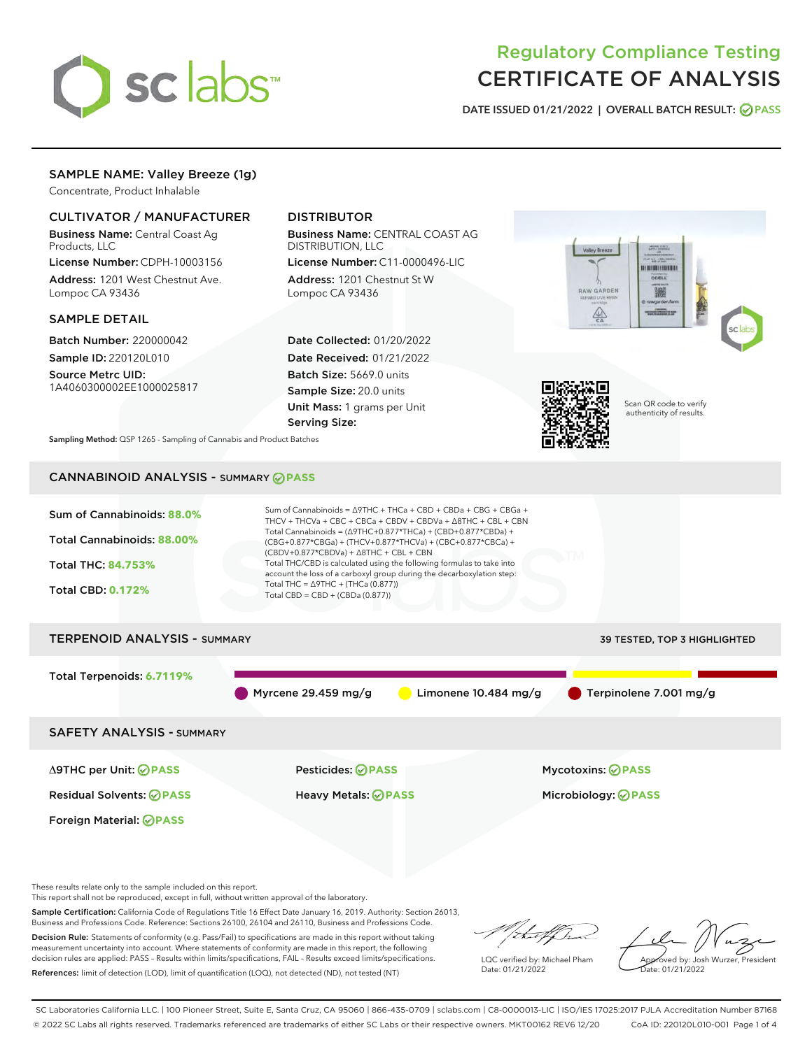

# Regulatory Compliance Testing CERTIFICATE OF ANALYSIS

DATE ISSUED 01/21/2022 | OVERALL BATCH RESULT: @ PASS

# SAMPLE NAME: Valley Breeze (1g)

Concentrate, Product Inhalable

# CULTIVATOR / MANUFACTURER

Business Name: Central Coast Ag Products, LLC

License Number: CDPH-10003156 Address: 1201 West Chestnut Ave. Lompoc CA 93436

#### SAMPLE DETAIL

Batch Number: 220000042 Sample ID: 220120L010

Source Metrc UID: 1A4060300002EE1000025817

# DISTRIBUTOR

Business Name: CENTRAL COAST AG DISTRIBUTION, LLC

License Number: C11-0000496-LIC Address: 1201 Chestnut St W Lompoc CA 93436

Date Collected: 01/20/2022 Date Received: 01/21/2022 Batch Size: 5669.0 units Sample Size: 20.0 units Unit Mass: 1 grams per Unit Serving Size:





Scan QR code to verify authenticity of results.

Sampling Method: QSP 1265 - Sampling of Cannabis and Product Batches

# CANNABINOID ANALYSIS - SUMMARY **PASS**



These results relate only to the sample included on this report.

This report shall not be reproduced, except in full, without written approval of the laboratory.

Sample Certification: California Code of Regulations Title 16 Effect Date January 16, 2019. Authority: Section 26013, Business and Professions Code. Reference: Sections 26100, 26104 and 26110, Business and Professions Code.

Decision Rule: Statements of conformity (e.g. Pass/Fail) to specifications are made in this report without taking measurement uncertainty into account. Where statements of conformity are made in this report, the following decision rules are applied: PASS – Results within limits/specifications, FAIL – Results exceed limits/specifications. References: limit of detection (LOD), limit of quantification (LOQ), not detected (ND), not tested (NT)

that f ha

LQC verified by: Michael Pham Date: 01/21/2022

Approved by: Josh Wurzer, President ate: 01/21/2022

SC Laboratories California LLC. | 100 Pioneer Street, Suite E, Santa Cruz, CA 95060 | 866-435-0709 | sclabs.com | C8-0000013-LIC | ISO/IES 17025:2017 PJLA Accreditation Number 87168 © 2022 SC Labs all rights reserved. Trademarks referenced are trademarks of either SC Labs or their respective owners. MKT00162 REV6 12/20 CoA ID: 220120L010-001 Page 1 of 4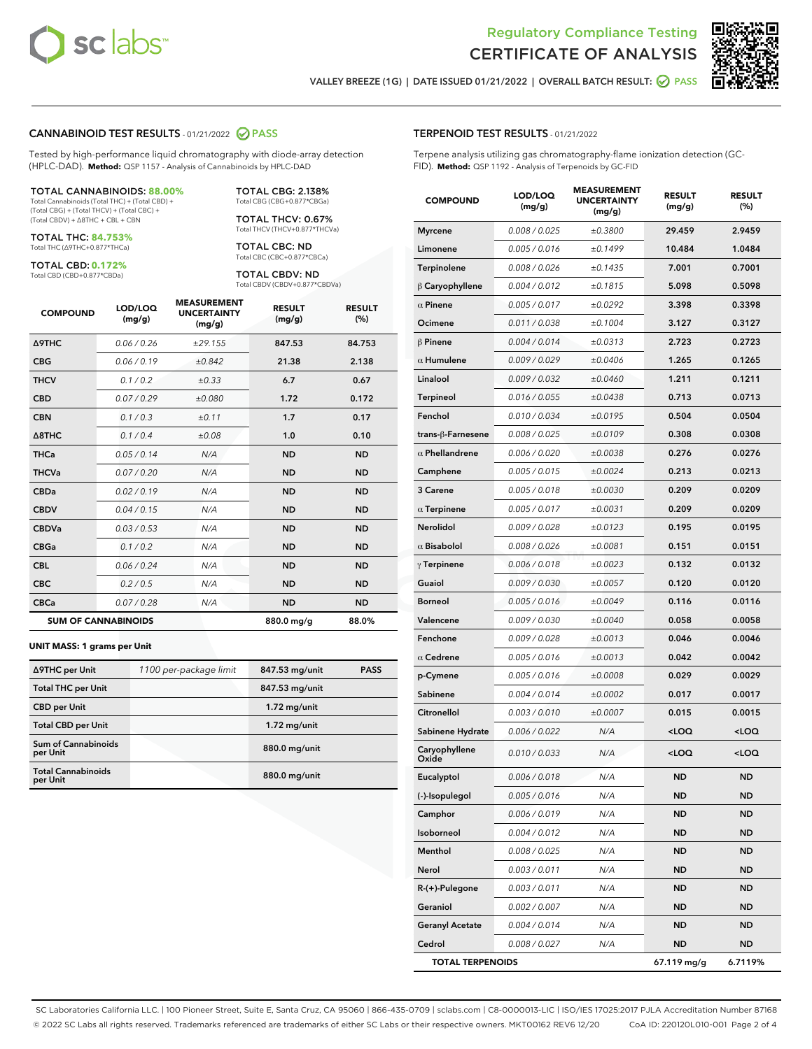



VALLEY BREEZE (1G) | DATE ISSUED 01/21/2022 | OVERALL BATCH RESULT:  $\bigcirc$  PASS

#### CANNABINOID TEST RESULTS - 01/21/2022 2 PASS

Tested by high-performance liquid chromatography with diode-array detection (HPLC-DAD). **Method:** QSP 1157 - Analysis of Cannabinoids by HPLC-DAD

#### TOTAL CANNABINOIDS: **88.00%**

Total Cannabinoids (Total THC) + (Total CBD) + (Total CBG) + (Total THCV) + (Total CBC) + (Total CBDV) + ∆8THC + CBL + CBN

TOTAL THC: **84.753%** Total THC (∆9THC+0.877\*THCa)

TOTAL CBD: **0.172%**

Total CBD (CBD+0.877\*CBDa)

TOTAL CBG: 2.138% Total CBG (CBG+0.877\*CBGa)

TOTAL THCV: 0.67% Total THCV (THCV+0.877\*THCVa)

TOTAL CBC: ND Total CBC (CBC+0.877\*CBCa)

TOTAL CBDV: ND Total CBDV (CBDV+0.877\*CBDVa)

| <b>COMPOUND</b>            | LOD/LOQ<br>(mg/g) | <b>MEASUREMENT</b><br><b>UNCERTAINTY</b><br>(mg/g) | <b>RESULT</b><br>(mg/g) | <b>RESULT</b><br>(%) |
|----------------------------|-------------------|----------------------------------------------------|-------------------------|----------------------|
| <b>A9THC</b>               | 0.06 / 0.26       | ±29.155                                            | 847.53                  | 84.753               |
| <b>CBG</b>                 | 0.06/0.19         | ±0.842                                             | 21.38                   | 2.138                |
| <b>THCV</b>                | 0.1 / 0.2         | ±0.33                                              | 6.7                     | 0.67                 |
| <b>CBD</b>                 | 0.07/0.29         | ±0.080                                             | 1.72                    | 0.172                |
| <b>CBN</b>                 | 0.1 / 0.3         | ±0.11                                              | 1.7                     | 0.17                 |
| $\triangle$ 8THC           | 0.1 / 0.4         | ±0.08                                              | 1.0                     | 0.10                 |
| <b>THCa</b>                | 0.05/0.14         | N/A                                                | <b>ND</b>               | <b>ND</b>            |
| <b>THCVa</b>               | 0.07/0.20         | N/A                                                | <b>ND</b>               | <b>ND</b>            |
| <b>CBDa</b>                | 0.02/0.19         | N/A                                                | <b>ND</b>               | <b>ND</b>            |
| <b>CBDV</b>                | 0.04/0.15         | N/A                                                | <b>ND</b>               | <b>ND</b>            |
| <b>CBDVa</b>               | 0.03/0.53         | N/A                                                | <b>ND</b>               | <b>ND</b>            |
| <b>CBGa</b>                | 0.1/0.2           | N/A                                                | <b>ND</b>               | <b>ND</b>            |
| <b>CBL</b>                 | 0.06 / 0.24       | N/A                                                | <b>ND</b>               | <b>ND</b>            |
| <b>CBC</b>                 | 0.2 / 0.5         | N/A                                                | <b>ND</b>               | <b>ND</b>            |
| <b>CBCa</b>                | 0.07/0.28         | N/A                                                | <b>ND</b>               | <b>ND</b>            |
| <b>SUM OF CANNABINOIDS</b> |                   |                                                    | 880.0 mg/g              | 88.0%                |

#### **UNIT MASS: 1 grams per Unit**

| ∆9THC per Unit                         | 1100 per-package limit | 847.53 mg/unit | <b>PASS</b> |
|----------------------------------------|------------------------|----------------|-------------|
| <b>Total THC per Unit</b>              |                        | 847.53 mg/unit |             |
| <b>CBD per Unit</b>                    |                        | $1.72$ mg/unit |             |
| <b>Total CBD per Unit</b>              |                        | $1.72$ mg/unit |             |
| <b>Sum of Cannabinoids</b><br>per Unit |                        | 880.0 mg/unit  |             |
| <b>Total Cannabinoids</b><br>per Unit  |                        | 880.0 mg/unit  |             |

| <b>COMPOUND</b>         | LOD/LOQ<br>(mg/g) | <b>MEASUREMENT</b><br><b>UNCERTAINTY</b><br>(mg/g) | <b>RESULT</b><br>(mg/g)                         | <b>RESULT</b><br>(%) |
|-------------------------|-------------------|----------------------------------------------------|-------------------------------------------------|----------------------|
| <b>Myrcene</b>          | 0.008 / 0.025     | ±0.3800                                            | 29.459                                          | 2.9459               |
| Limonene                | 0.005 / 0.016     | ±0.1499                                            | 10.484                                          | 1.0484               |
| Terpinolene             | 0.008 / 0.026     | ±0.1435                                            | 7.001                                           | 0.7001               |
| $\upbeta$ Caryophyllene | 0.004 / 0.012     | ±0.1815                                            | 5.098                                           | 0.5098               |
| $\alpha$ Pinene         | 0.005 / 0.017     | ±0.0292                                            | 3.398                                           | 0.3398               |
| Ocimene                 | 0.011 / 0.038     | ±0.1004                                            | 3.127                                           | 0.3127               |
| $\beta$ Pinene          | 0.004 / 0.014     | ±0.0313                                            | 2.723                                           | 0.2723               |
| $\alpha$ Humulene       | 0.009 / 0.029     | ±0.0406                                            | 1.265                                           | 0.1265               |
| Linalool                | 0.009 / 0.032     | ±0.0460                                            | 1.211                                           | 0.1211               |
| Terpineol               | 0.016 / 0.055     | ±0.0438                                            | 0.713                                           | 0.0713               |
| Fenchol                 | 0.010 / 0.034     | ±0.0195                                            | 0.504                                           | 0.0504               |
| trans-ß-Farnesene       | 0.008 / 0.025     | ±0.0109                                            | 0.308                                           | 0.0308               |
| $\alpha$ Phellandrene   | 0.006 / 0.020     | ±0.0038                                            | 0.276                                           | 0.0276               |
| Camphene                | 0.005 / 0.015     | ±0.0024                                            | 0.213                                           | 0.0213               |
| 3 Carene                | 0.005 / 0.018     | ±0.0030                                            | 0.209                                           | 0.0209               |
| $\alpha$ Terpinene      | 0.005 / 0.017     | ±0.0031                                            | 0.209                                           | 0.0209               |
| Nerolidol               | 0.009 / 0.028     | ±0.0123                                            | 0.195                                           | 0.0195               |
| $\alpha$ Bisabolol      | 0.008 / 0.026     | ±0.0081                                            | 0.151                                           | 0.0151               |
| $\gamma$ Terpinene      | 0.006 / 0.018     | ±0.0023                                            | 0.132                                           | 0.0132               |
| Guaiol                  | 0.009 / 0.030     | ±0.0057                                            | 0.120                                           | 0.0120               |
| <b>Borneol</b>          | 0.005 / 0.016     | ±0.0049                                            | 0.116                                           | 0.0116               |
| Valencene               | 0.009 / 0.030     | ±0.0040                                            | 0.058                                           | 0.0058               |
| Fenchone                | 0.009 / 0.028     | ±0.0013                                            | 0.046                                           | 0.0046               |
| $\alpha$ Cedrene        | 0.005 / 0.016     | ±0.0013                                            | 0.042                                           | 0.0042               |
| p-Cymene                | 0.005 / 0.016     | ±0.0008                                            | 0.029                                           | 0.0029               |
| Sabinene                | 0.004 / 0.014     | ±0.0002                                            | 0.017                                           | 0.0017               |
| Citronellol             | 0.003/0.010       | ±0.0007                                            | 0.015                                           | 0.0015               |
| Sabinene Hydrate        | 0.006 / 0.022     | N/A                                                | <loq< th=""><th><loq< th=""></loq<></th></loq<> | <loq< th=""></loq<>  |
| Caryophyllene<br>Oxide  | 0.010 / 0.033     | N/A                                                | <loq< th=""><th><loq< th=""></loq<></th></loq<> | <loq< th=""></loq<>  |
| Eucalyptol              | 0.006 / 0.018     | N/A                                                | <b>ND</b>                                       | <b>ND</b>            |
| (-)-Isopulegol          | 0.005 / 0.016     | N/A                                                | ND                                              | ND                   |
| Camphor                 | 0.006 / 0.019     | N/A                                                | ND                                              | ND                   |
| Isoborneol              | 0.004 / 0.012     | N/A                                                | ND                                              | ND                   |
| Menthol                 | 0.008 / 0.025     | N/A                                                | ND                                              | ND                   |
| Nerol                   | 0.003 / 0.011     | N/A                                                | ND                                              | ND                   |
| R-(+)-Pulegone          | 0.003 / 0.011     | N/A                                                | ND                                              | ND                   |
| Geraniol                | 0.002 / 0.007     | N/A                                                | ND                                              | ND                   |
| <b>Geranyl Acetate</b>  | 0.004 / 0.014     | N/A                                                | ND                                              | ND                   |
| Cedrol                  | 0.008 / 0.027     | N/A                                                | ND                                              | ND                   |
| <b>TOTAL TERPENOIDS</b> |                   |                                                    | 67.119 mg/g                                     | 6.7119%              |

SC Laboratories California LLC. | 100 Pioneer Street, Suite E, Santa Cruz, CA 95060 | 866-435-0709 | sclabs.com | C8-0000013-LIC | ISO/IES 17025:2017 PJLA Accreditation Number 87168 © 2022 SC Labs all rights reserved. Trademarks referenced are trademarks of either SC Labs or their respective owners. MKT00162 REV6 12/20 CoA ID: 220120L010-001 Page 2 of 4

# TERPENOID TEST RESULTS - 01/21/2022

Terpene analysis utilizing gas chromatography-flame ionization detection (GC-FID). **Method:** QSP 1192 - Analysis of Terpenoids by GC-FID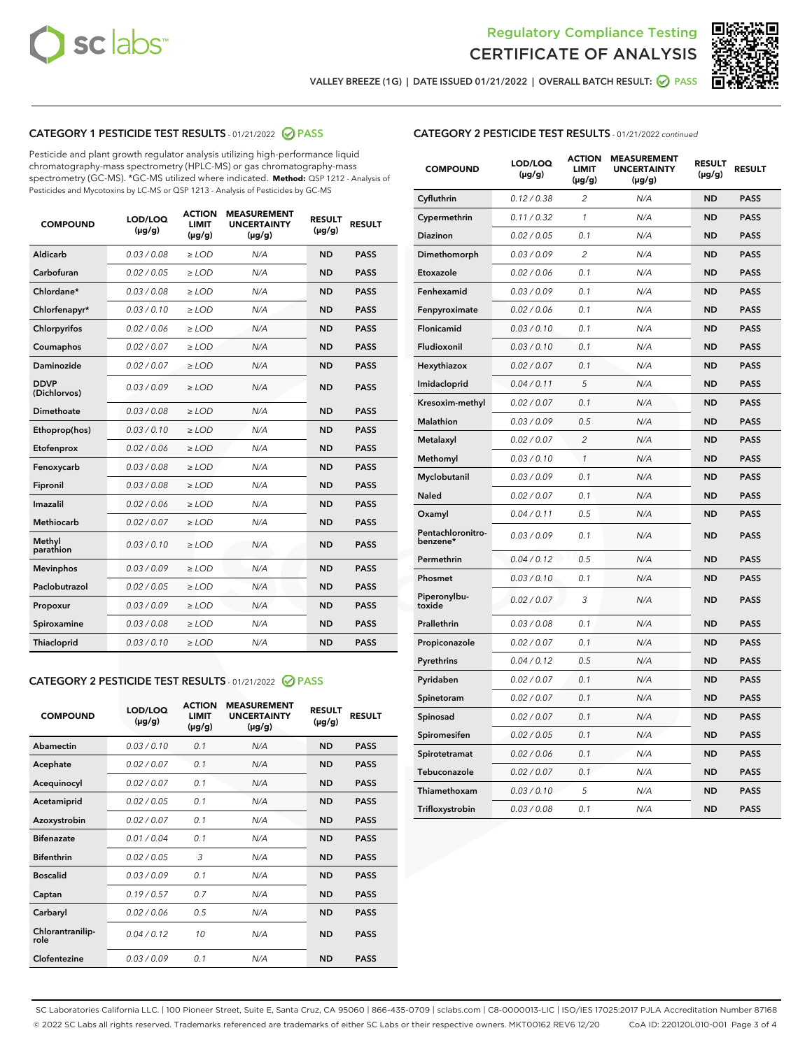



VALLEY BREEZE (1G) | DATE ISSUED 01/21/2022 | OVERALL BATCH RESULT:  $\bigcirc$  PASS

# CATEGORY 1 PESTICIDE TEST RESULTS - 01/21/2022 2 PASS

Pesticide and plant growth regulator analysis utilizing high-performance liquid chromatography-mass spectrometry (HPLC-MS) or gas chromatography-mass spectrometry (GC-MS). \*GC-MS utilized where indicated. **Method:** QSP 1212 - Analysis of Pesticides and Mycotoxins by LC-MS or QSP 1213 - Analysis of Pesticides by GC-MS

| <b>COMPOUND</b>             | LOD/LOQ<br>$(\mu g/g)$ | <b>ACTION</b><br><b>LIMIT</b><br>$(\mu q/q)$ | <b>MEASUREMENT</b><br><b>UNCERTAINTY</b><br>$(\mu g/g)$ | <b>RESULT</b><br>$(\mu g/g)$ | <b>RESULT</b> |
|-----------------------------|------------------------|----------------------------------------------|---------------------------------------------------------|------------------------------|---------------|
| Aldicarb                    | 0.03 / 0.08            | $\ge$ LOD                                    | N/A                                                     | <b>ND</b>                    | <b>PASS</b>   |
| Carbofuran                  | 0.02 / 0.05            | $\ge$ LOD                                    | N/A                                                     | <b>ND</b>                    | <b>PASS</b>   |
| Chlordane*                  | 0.03 / 0.08            | $\ge$ LOD                                    | N/A                                                     | <b>ND</b>                    | <b>PASS</b>   |
| Chlorfenapyr*               | 0.03/0.10              | $\ge$ LOD                                    | N/A                                                     | <b>ND</b>                    | <b>PASS</b>   |
| Chlorpyrifos                | 0.02 / 0.06            | $\ge$ LOD                                    | N/A                                                     | <b>ND</b>                    | <b>PASS</b>   |
| Coumaphos                   | 0.02 / 0.07            | $\ge$ LOD                                    | N/A                                                     | <b>ND</b>                    | <b>PASS</b>   |
| Daminozide                  | 0.02 / 0.07            | $\ge$ LOD                                    | N/A                                                     | <b>ND</b>                    | <b>PASS</b>   |
| <b>DDVP</b><br>(Dichlorvos) | 0.03/0.09              | $\ge$ LOD                                    | N/A                                                     | <b>ND</b>                    | <b>PASS</b>   |
| Dimethoate                  | 0.03 / 0.08            | $\ge$ LOD                                    | N/A                                                     | <b>ND</b>                    | <b>PASS</b>   |
| Ethoprop(hos)               | 0.03/0.10              | $\ge$ LOD                                    | N/A                                                     | <b>ND</b>                    | <b>PASS</b>   |
| Etofenprox                  | 0.02/0.06              | $>$ LOD                                      | N/A                                                     | <b>ND</b>                    | <b>PASS</b>   |
| Fenoxycarb                  | 0.03 / 0.08            | $\ge$ LOD                                    | N/A                                                     | <b>ND</b>                    | <b>PASS</b>   |
| Fipronil                    | 0.03/0.08              | $>$ LOD                                      | N/A                                                     | <b>ND</b>                    | <b>PASS</b>   |
| Imazalil                    | 0.02 / 0.06            | $\ge$ LOD                                    | N/A                                                     | <b>ND</b>                    | <b>PASS</b>   |
| Methiocarb                  | 0.02 / 0.07            | $\ge$ LOD                                    | N/A                                                     | <b>ND</b>                    | <b>PASS</b>   |
| Methyl<br>parathion         | 0.03/0.10              | $>$ LOD                                      | N/A                                                     | <b>ND</b>                    | <b>PASS</b>   |
| <b>Mevinphos</b>            | 0.03/0.09              | $>$ LOD                                      | N/A                                                     | <b>ND</b>                    | <b>PASS</b>   |
| Paclobutrazol               | 0.02 / 0.05            | $>$ LOD                                      | N/A                                                     | <b>ND</b>                    | <b>PASS</b>   |
| Propoxur                    | 0.03/0.09              | $\ge$ LOD                                    | N/A                                                     | <b>ND</b>                    | <b>PASS</b>   |
| Spiroxamine                 | 0.03 / 0.08            | $\ge$ LOD                                    | N/A                                                     | <b>ND</b>                    | <b>PASS</b>   |
| Thiacloprid                 | 0.03/0.10              | $\ge$ LOD                                    | N/A                                                     | <b>ND</b>                    | <b>PASS</b>   |

#### CATEGORY 2 PESTICIDE TEST RESULTS - 01/21/2022 2 PASS

| <b>COMPOUND</b>          | LOD/LOO<br>$(\mu g/g)$ | <b>ACTION</b><br>LIMIT<br>$(\mu g/g)$ | <b>MEASUREMENT</b><br><b>UNCERTAINTY</b><br>$(\mu g/g)$ | <b>RESULT</b><br>$(\mu g/g)$ | <b>RESULT</b> |  |
|--------------------------|------------------------|---------------------------------------|---------------------------------------------------------|------------------------------|---------------|--|
| Abamectin                | 0.03/0.10              | 0.1                                   | N/A                                                     | <b>ND</b>                    | <b>PASS</b>   |  |
| Acephate                 | 0.02/0.07              | 0.1                                   | N/A                                                     | <b>ND</b>                    | <b>PASS</b>   |  |
| Acequinocyl              | 0.02/0.07              | 0.1                                   | N/A                                                     | <b>ND</b>                    | <b>PASS</b>   |  |
| Acetamiprid              | 0.02 / 0.05            | 0.1                                   | N/A                                                     | <b>ND</b>                    | <b>PASS</b>   |  |
| Azoxystrobin             | 0.02/0.07              | 0.1                                   | N/A                                                     | <b>ND</b>                    | <b>PASS</b>   |  |
| <b>Bifenazate</b>        | 0.01 / 0.04            | 0.1                                   | N/A                                                     | <b>ND</b>                    | <b>PASS</b>   |  |
| <b>Bifenthrin</b>        | 0.02 / 0.05            | 3                                     | N/A                                                     | <b>ND</b>                    | <b>PASS</b>   |  |
| <b>Boscalid</b>          | 0.03/0.09              | 0.1                                   | N/A                                                     | <b>ND</b>                    | <b>PASS</b>   |  |
| Captan                   | 0.19/0.57              | 0.7                                   | N/A                                                     | <b>ND</b>                    | <b>PASS</b>   |  |
| Carbaryl                 | 0.02/0.06              | 0.5                                   | N/A                                                     | <b>ND</b>                    | <b>PASS</b>   |  |
| Chlorantranilip-<br>role | 0.04/0.12              | 10                                    | N/A                                                     | <b>ND</b>                    | <b>PASS</b>   |  |
| Clofentezine             | 0.03/0.09              | 0.1                                   | N/A                                                     | <b>ND</b>                    | <b>PASS</b>   |  |

| <b>CATEGORY 2 PESTICIDE TEST RESULTS</b> - 01/21/2022 continued |
|-----------------------------------------------------------------|
|-----------------------------------------------------------------|

| <b>COMPOUND</b>               | LOD/LOQ<br>(µg/g) | <b>ACTION</b><br><b>LIMIT</b><br>$(\mu g/g)$ | <b>MEASUREMENT</b><br><b>UNCERTAINTY</b><br>$(\mu g/g)$ | <b>RESULT</b><br>(µg/g) | <b>RESULT</b> |
|-------------------------------|-------------------|----------------------------------------------|---------------------------------------------------------|-------------------------|---------------|
| Cyfluthrin                    | 0.12 / 0.38       | 2                                            | N/A                                                     | ND                      | <b>PASS</b>   |
| Cypermethrin                  | 0.11 / 0.32       | $\mathbf{1}$                                 | N/A                                                     | ND                      | <b>PASS</b>   |
| Diazinon                      | 0.02 / 0.05       | 0.1                                          | N/A                                                     | ND                      | <b>PASS</b>   |
| Dimethomorph                  | 0.03 / 0.09       | $\overline{c}$                               | N/A                                                     | <b>ND</b>               | <b>PASS</b>   |
| Etoxazole                     | 0.02 / 0.06       | 0.1                                          | N/A                                                     | ND                      | <b>PASS</b>   |
| Fenhexamid                    | 0.03 / 0.09       | 0.1                                          | N/A                                                     | ND                      | <b>PASS</b>   |
| Fenpyroximate                 | 0.02 / 0.06       | 0.1                                          | N/A                                                     | <b>ND</b>               | <b>PASS</b>   |
| Flonicamid                    | 0.03 / 0.10       | 0.1                                          | N/A                                                     | ND                      | <b>PASS</b>   |
| Fludioxonil                   | 0.03 / 0.10       | 0.1                                          | N/A                                                     | ND                      | <b>PASS</b>   |
| Hexythiazox                   | 0.02 / 0.07       | 0.1                                          | N/A                                                     | <b>ND</b>               | <b>PASS</b>   |
| Imidacloprid                  | 0.04 / 0.11       | 5                                            | N/A                                                     | <b>ND</b>               | <b>PASS</b>   |
| Kresoxim-methyl               | 0.02 / 0.07       | 0.1                                          | N/A                                                     | <b>ND</b>               | <b>PASS</b>   |
| <b>Malathion</b>              | 0.03 / 0.09       | 0.5                                          | N/A                                                     | ND                      | <b>PASS</b>   |
| Metalaxyl                     | 0.02 / 0.07       | $\overline{2}$                               | N/A                                                     | <b>ND</b>               | <b>PASS</b>   |
| Methomyl                      | 0.03 / 0.10       | 1                                            | N/A                                                     | <b>ND</b>               | <b>PASS</b>   |
| Myclobutanil                  | 0.03 / 0.09       | 0.1                                          | N/A                                                     | ND                      | <b>PASS</b>   |
| <b>Naled</b>                  | 0.02 / 0.07       | 0.1                                          | N/A                                                     | ND                      | <b>PASS</b>   |
| Oxamyl                        | 0.04 / 0.11       | 0.5                                          | N/A                                                     | <b>ND</b>               | <b>PASS</b>   |
| Pentachloronitro-<br>benzene* | 0.03/0.09         | 0.1                                          | N/A                                                     | ND                      | <b>PASS</b>   |
| Permethrin                    | 0.04 / 0.12       | 0.5                                          | N/A                                                     | ND                      | <b>PASS</b>   |
| Phosmet                       | 0.03/0.10         | 0.1                                          | N/A                                                     | ND                      | <b>PASS</b>   |
| Piperonylbu-<br>toxide        | 0.02 / 0.07       | 3                                            | N/A                                                     | <b>ND</b>               | <b>PASS</b>   |
| Prallethrin                   | 0.03 / 0.08       | 0.1                                          | N/A                                                     | <b>ND</b>               | <b>PASS</b>   |
| Propiconazole                 | 0.02 / 0.07       | 0.1                                          | N/A                                                     | ND                      | <b>PASS</b>   |
| Pyrethrins                    | 0.04 / 0.12       | 0.5                                          | N/A                                                     | ND                      | <b>PASS</b>   |
| Pyridaben                     | 0.02 / 0.07       | 0.1                                          | N/A                                                     | <b>ND</b>               | <b>PASS</b>   |
| Spinetoram                    | 0.02 / 0.07       | 0.1                                          | N/A                                                     | ND                      | <b>PASS</b>   |
| Spinosad                      | 0.02 / 0.07       | 0.1                                          | N/A                                                     | ND                      | <b>PASS</b>   |
| Spiromesifen                  | 0.02 / 0.05       | 0.1                                          | N/A                                                     | <b>ND</b>               | <b>PASS</b>   |
| Spirotetramat                 | 0.02 / 0.06       | 0.1                                          | N/A                                                     | ND                      | <b>PASS</b>   |
| Tebuconazole                  | 0.02 / 0.07       | 0.1                                          | N/A                                                     | ND                      | <b>PASS</b>   |
| Thiamethoxam                  | 0.03 / 0.10       | 5                                            | N/A                                                     | ND                      | <b>PASS</b>   |
| Trifloxystrobin               | 0.03 / 0.08       | 0.1                                          | N/A                                                     | <b>ND</b>               | <b>PASS</b>   |

SC Laboratories California LLC. | 100 Pioneer Street, Suite E, Santa Cruz, CA 95060 | 866-435-0709 | sclabs.com | C8-0000013-LIC | ISO/IES 17025:2017 PJLA Accreditation Number 87168 © 2022 SC Labs all rights reserved. Trademarks referenced are trademarks of either SC Labs or their respective owners. MKT00162 REV6 12/20 CoA ID: 220120L010-001 Page 3 of 4